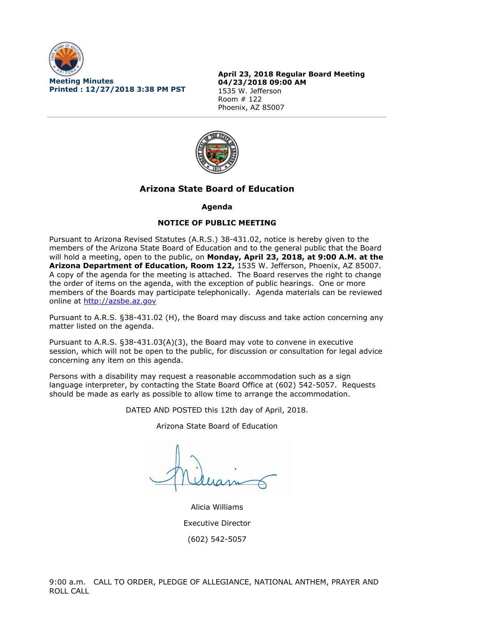

**April 23, 2018 Regular Board Meeting 04/23/2018 09:00 AM** 1535 W. Jefferson Room # 122 Phoenix, AZ 85007



# **Arizona State Board of Education**

# **Agenda**

# **NOTICE OF PUBLIC MEETING**

Pursuant to Arizona Revised Statutes (A.R.S.) 38-431.02, notice is hereby given to the members of the Arizona State Board of Education and to the general public that the Board will hold a meeting, open to the public, on **Monday, April 23, 2018, at 9:00 A.M. at the Arizona Department of Education, Room 122,** 1535 W. Jefferson, Phoenix, AZ 85007. A copy of the agenda for the meeting is attached. The Board reserves the right to change the order of items on the agenda, with the exception of public hearings. One or more members of the Boards may participate telephonically. Agenda materials can be reviewed online at [http://azsbe.az.gov](http://azsbe.az.gov/)

Pursuant to A.R.S. §38-431.02 (H), the Board may discuss and take action concerning any matter listed on the agenda.

Pursuant to A.R.S. §38-431.03(A)(3), the Board may vote to convene in executive session, which will not be open to the public, for discussion or consultation for legal advice concerning any item on this agenda.

Persons with a disability may request a reasonable accommodation such as a sign language interpreter, by contacting the State Board Office at (602) 542-5057. Requests should be made as early as possible to allow time to arrange the accommodation.

DATED AND POSTED this 12th day of April, 2018.

Arizona State Board of Education

Alicia Williams Executive Director (602) 542-5057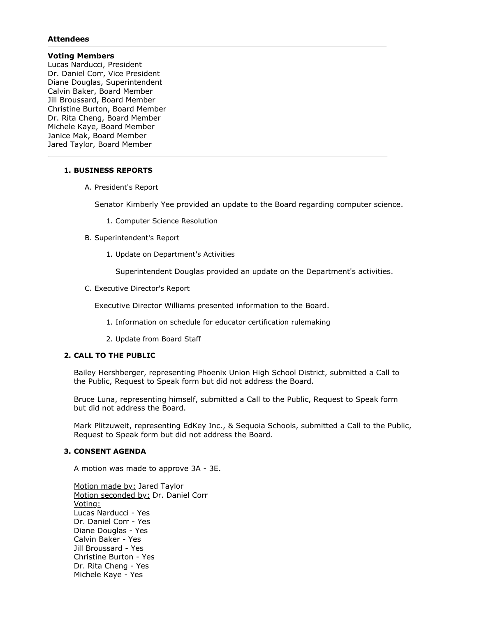#### **Attendees**

# **Voting Members**

Lucas Narducci, President Dr. Daniel Corr, Vice President Diane Douglas, Superintendent Calvin Baker, Board Member Jill Broussard, Board Member Christine Burton, Board Member Dr. Rita Cheng, Board Member Michele Kaye, Board Member Janice Mak, Board Member Jared Taylor, Board Member

#### **1. BUSINESS REPORTS**

A. President's Report

Senator Kimberly Yee provided an update to the Board regarding computer science.

- 1. Computer Science Resolution
- B. Superintendent's Report
	- 1. Update on Department's Activities

Superintendent Douglas provided an update on the Department's activities.

C. Executive Director's Report

Executive Director Williams presented information to the Board.

- 1. Information on schedule for educator certification rulemaking
- 2. Update from Board Staff

# **2. CALL TO THE PUBLIC**

Bailey Hershberger, representing Phoenix Union High School District, submitted a Call to the Public, Request to Speak form but did not address the Board.

Bruce Luna, representing himself, submitted a Call to the Public, Request to Speak form but did not address the Board.

Mark Plitzuweit, representing EdKey Inc., & Sequoia Schools, submitted a Call to the Public, Request to Speak form but did not address the Board.

#### **3. CONSENT AGENDA**

A motion was made to approve 3A - 3E.

Motion made by: Jared Taylor Motion seconded by: Dr. Daniel Corr Voting: Lucas Narducci - Yes Dr. Daniel Corr - Yes Diane Douglas - Yes Calvin Baker - Yes Jill Broussard - Yes Christine Burton - Yes Dr. Rita Cheng - Yes Michele Kaye - Yes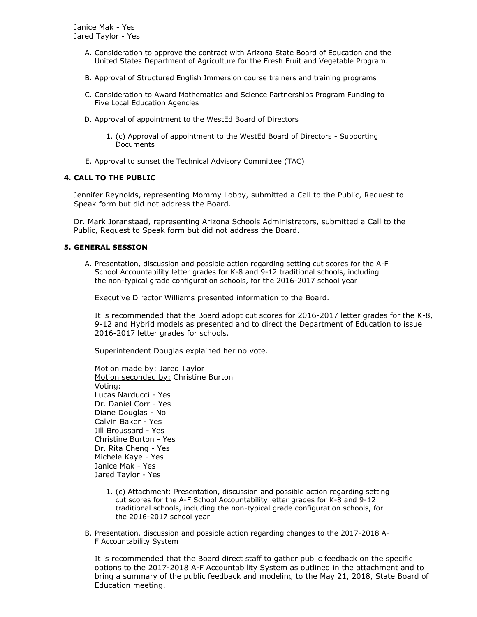- A. Consideration to approve the contract with Arizona State Board of Education and the United States Department of Agriculture for the Fresh Fruit and Vegetable Program.
- B. Approval of Structured English Immersion course trainers and training programs
- C. Consideration to Award Mathematics and Science Partnerships Program Funding to Five Local Education Agencies
- D. Approval of appointment to the WestEd Board of Directors
	- 1. (c) Approval of appointment to the WestEd Board of Directors Supporting Documents
- E. Approval to sunset the Technical Advisory Committee (TAC)

# **4. CALL TO THE PUBLIC**

Jennifer Reynolds, representing Mommy Lobby, submitted a Call to the Public, Request to Speak form but did not address the Board.

Dr. Mark Joranstaad, representing Arizona Schools Administrators, submitted a Call to the Public, Request to Speak form but did not address the Board.

# **5. GENERAL SESSION**

A. Presentation, discussion and possible action regarding setting cut scores for the A-F School Accountability letter grades for K-8 and 9-12 traditional schools, including the non-typical grade configuration schools, for the 2016-2017 school year

Executive Director Williams presented information to the Board.

It is recommended that the Board adopt cut scores for 2016-2017 letter grades for the K-8, 9-12 and Hybrid models as presented and to direct the Department of Education to issue 2016-2017 letter grades for schools.

Superintendent Douglas explained her no vote.

Motion made by: Jared Taylor Motion seconded by: Christine Burton Voting: Lucas Narducci - Yes Dr. Daniel Corr - Yes Diane Douglas - No Calvin Baker - Yes Jill Broussard - Yes Christine Burton - Yes Dr. Rita Cheng - Yes Michele Kaye - Yes Janice Mak - Yes Jared Taylor - Yes

- 1. (c) Attachment: Presentation, discussion and possible action regarding setting cut scores for the A-F School Accountability letter grades for K-8 and 9-12 traditional schools, including the non-typical grade configuration schools, for the 2016-2017 school year
- B. Presentation, discussion and possible action regarding changes to the 2017-2018 A-F Accountability System

It is recommended that the Board direct staff to gather public feedback on the specific options to the 2017-2018 A-F Accountability System as outlined in the attachment and to bring a summary of the public feedback and modeling to the May 21, 2018, State Board of Education meeting.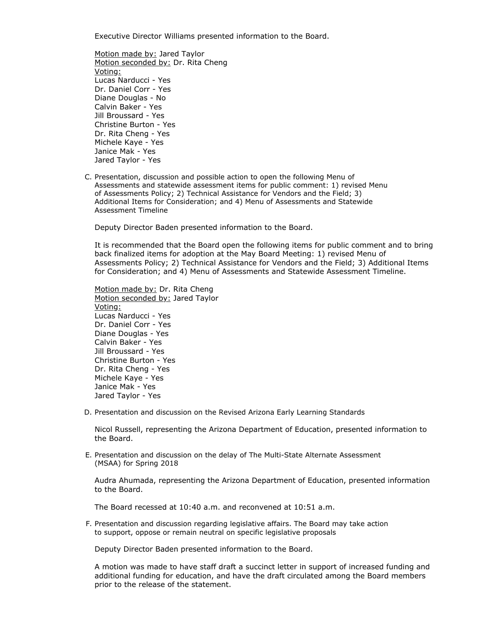Executive Director Williams presented information to the Board.

Motion made by: Jared Taylor Motion seconded by: Dr. Rita Cheng Voting: Lucas Narducci - Yes Dr. Daniel Corr - Yes Diane Douglas - No Calvin Baker - Yes Jill Broussard - Yes Christine Burton - Yes Dr. Rita Cheng - Yes Michele Kaye - Yes Janice Mak - Yes Jared Taylor - Yes

C. Presentation, discussion and possible action to open the following Menu of Assessments and statewide assessment items for public comment: 1) revised Menu of Assessments Policy; 2) Technical Assistance for Vendors and the Field; 3) Additional Items for Consideration; and 4) Menu of Assessments and Statewide Assessment Timeline

Deputy Director Baden presented information to the Board.

It is recommended that the Board open the following items for public comment and to bring back finalized items for adoption at the May Board Meeting: 1) revised Menu of Assessments Policy; 2) Technical Assistance for Vendors and the Field; 3) Additional Items for Consideration; and 4) Menu of Assessments and Statewide Assessment Timeline.

Motion made by: Dr. Rita Cheng Motion seconded by: Jared Taylor Voting: Lucas Narducci - Yes Dr. Daniel Corr - Yes Diane Douglas - Yes Calvin Baker - Yes Jill Broussard - Yes Christine Burton - Yes Dr. Rita Cheng - Yes Michele Kaye - Yes Janice Mak - Yes Jared Taylor - Yes

D. Presentation and discussion on the Revised Arizona Early Learning Standards

Nicol Russell, representing the Arizona Department of Education, presented information to the Board.

E. Presentation and discussion on the delay of The Multi-State Alternate Assessment (MSAA) for Spring 2018

Audra Ahumada, representing the Arizona Department of Education, presented information to the Board.

The Board recessed at 10:40 a.m. and reconvened at 10:51 a.m.

F. Presentation and discussion regarding legislative affairs. The Board may take action to support, oppose or remain neutral on specific legislative proposals

Deputy Director Baden presented information to the Board.

A motion was made to have staff draft a succinct letter in support of increased funding and additional funding for education, and have the draft circulated among the Board members prior to the release of the statement.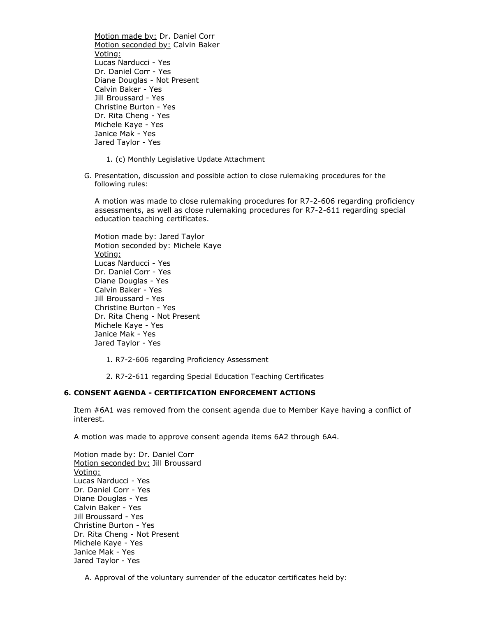Motion made by: Dr. Daniel Corr Motion seconded by: Calvin Baker Voting: Lucas Narducci - Yes Dr. Daniel Corr - Yes Diane Douglas - Not Present Calvin Baker - Yes Jill Broussard - Yes Christine Burton - Yes Dr. Rita Cheng - Yes Michele Kaye - Yes Janice Mak - Yes Jared Taylor - Yes

- 1. (c) Monthly Legislative Update Attachment
- G. Presentation, discussion and possible action to close rulemaking procedures for the following rules:

A motion was made to close rulemaking procedures for R7-2-606 regarding proficiency assessments, as well as close rulemaking procedures for R7-2-611 regarding special education teaching certificates.

Motion made by: Jared Taylor Motion seconded by: Michele Kaye Voting: Lucas Narducci - Yes Dr. Daniel Corr - Yes Diane Douglas - Yes Calvin Baker - Yes Jill Broussard - Yes Christine Burton - Yes Dr. Rita Cheng - Not Present Michele Kaye - Yes Janice Mak - Yes Jared Taylor - Yes

- 1. R7-2-606 regarding Proficiency Assessment
- 2. R7-2-611 regarding Special Education Teaching Certificates

#### **6. CONSENT AGENDA - CERTIFICATION ENFORCEMENT ACTIONS**

Item #6A1 was removed from the consent agenda due to Member Kaye having a conflict of interest.

A motion was made to approve consent agenda items 6A2 through 6A4.

Motion made by: Dr. Daniel Corr Motion seconded by: Jill Broussard Voting: Lucas Narducci - Yes Dr. Daniel Corr - Yes Diane Douglas - Yes Calvin Baker - Yes Jill Broussard - Yes Christine Burton - Yes Dr. Rita Cheng - Not Present Michele Kaye - Yes Janice Mak - Yes Jared Taylor - Yes

A. Approval of the voluntary surrender of the educator certificates held by: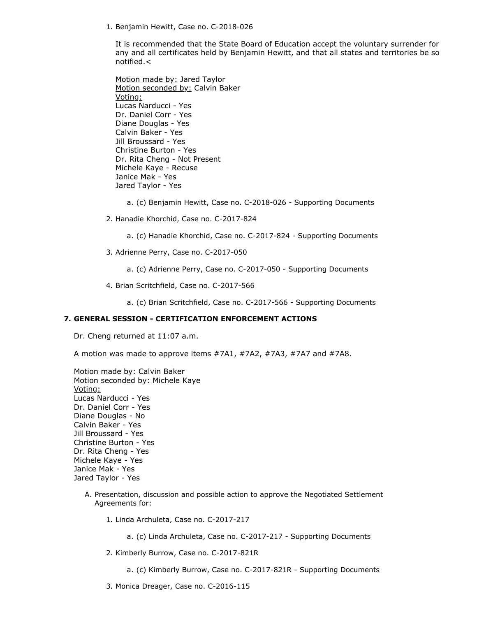1. Benjamin Hewitt, Case no. C-2018-026

It is recommended that the State Board of Education accept the voluntary surrender for any and all certificates held by Benjamin Hewitt, and that all states and territories be so notified.<

Motion made by: Jared Taylor Motion seconded by: Calvin Baker Voting: Lucas Narducci - Yes Dr. Daniel Corr - Yes Diane Douglas - Yes Calvin Baker - Yes Jill Broussard - Yes Christine Burton - Yes Dr. Rita Cheng - Not Present Michele Kaye - Recuse Janice Mak - Yes Jared Taylor - Yes

- a. (c) Benjamin Hewitt, Case no. C-2018-026 Supporting Documents
- 2. Hanadie Khorchid, Case no. C-2017-824
	- a. (c) Hanadie Khorchid, Case no. C-2017-824 Supporting Documents
- 3. Adrienne Perry, Case no. C-2017-050
	- a. (c) Adrienne Perry, Case no. C-2017-050 Supporting Documents
- 4. Brian Scritchfield, Case no. C-2017-566
	- a. (c) Brian Scritchfield, Case no. C-2017-566 Supporting Documents

#### **7. GENERAL SESSION - CERTIFICATION ENFORCEMENT ACTIONS**

Dr. Cheng returned at 11:07 a.m.

A motion was made to approve items #7A1, #7A2, #7A3, #7A7 and #7A8.

Motion made by: Calvin Baker Motion seconded by: Michele Kaye Voting: Lucas Narducci - Yes Dr. Daniel Corr - Yes Diane Douglas - No Calvin Baker - Yes Jill Broussard - Yes Christine Burton - Yes Dr. Rita Cheng - Yes Michele Kaye - Yes Janice Mak - Yes Jared Taylor - Yes

- A. Presentation, discussion and possible action to approve the Negotiated Settlement Agreements for:
	- 1. Linda Archuleta, Case no. C-2017-217
		- a. (c) Linda Archuleta, Case no. C-2017-217 Supporting Documents
	- 2. Kimberly Burrow, Case no. C-2017-821R
		- a. (c) Kimberly Burrow, Case no. C-2017-821R Supporting Documents
	- 3. Monica Dreager, Case no. C-2016-115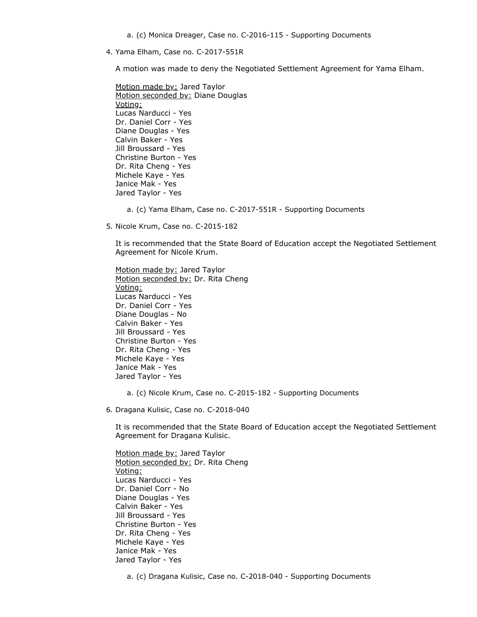4. Yama Elham, Case no. C-2017-551R

A motion was made to deny the Negotiated Settlement Agreement for Yama Elham.

Motion made by: Jared Taylor Motion seconded by: Diane Douglas Voting: Lucas Narducci - Yes Dr. Daniel Corr - Yes Diane Douglas - Yes Calvin Baker - Yes Jill Broussard - Yes Christine Burton - Yes Dr. Rita Cheng - Yes Michele Kaye - Yes Janice Mak - Yes Jared Taylor - Yes

a. (c) Yama Elham, Case no. C-2017-551R - Supporting Documents

5. Nicole Krum, Case no. C-2015-182

It is recommended that the State Board of Education accept the Negotiated Settlement Agreement for Nicole Krum.

Motion made by: Jared Taylor Motion seconded by: Dr. Rita Cheng Voting: Lucas Narducci - Yes Dr. Daniel Corr - Yes Diane Douglas - No Calvin Baker - Yes Jill Broussard - Yes Christine Burton - Yes Dr. Rita Cheng - Yes Michele Kaye - Yes Janice Mak - Yes Jared Taylor - Yes

a. (c) Nicole Krum, Case no. C-2015-182 - Supporting Documents

6. Dragana Kulisic, Case no. C-2018-040

It is recommended that the State Board of Education accept the Negotiated Settlement Agreement for Dragana Kulisic.

Motion made by: Jared Taylor Motion seconded by: Dr. Rita Cheng Voting: Lucas Narducci - Yes Dr. Daniel Corr - No Diane Douglas - Yes Calvin Baker - Yes Jill Broussard - Yes Christine Burton - Yes Dr. Rita Cheng - Yes Michele Kaye - Yes Janice Mak - Yes Jared Taylor - Yes

a. (c) Dragana Kulisic, Case no. C-2018-040 - Supporting Documents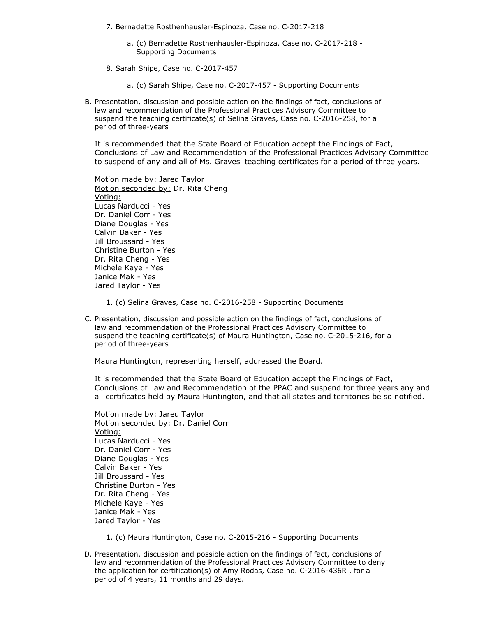- 7. Bernadette Rosthenhausler-Espinoza, Case no. C-2017-218
	- a. (c) Bernadette Rosthenhausler-Espinoza, Case no. C-2017-218 Supporting Documents
- 8. Sarah Shipe, Case no. C-2017-457

a. (c) Sarah Shipe, Case no. C-2017-457 - Supporting Documents

B. Presentation, discussion and possible action on the findings of fact, conclusions of law and recommendation of the Professional Practices Advisory Committee to suspend the teaching certificate(s) of Selina Graves, Case no. C-2016-258, for a period of three-years

It is recommended that the State Board of Education accept the Findings of Fact, Conclusions of Law and Recommendation of the Professional Practices Advisory Committee to suspend of any and all of Ms. Graves' teaching certificates for a period of three years.

Motion made by: Jared Taylor Motion seconded by: Dr. Rita Cheng Voting: Lucas Narducci - Yes Dr. Daniel Corr - Yes Diane Douglas - Yes Calvin Baker - Yes Jill Broussard - Yes Christine Burton - Yes Dr. Rita Cheng - Yes Michele Kaye - Yes Janice Mak - Yes Jared Taylor - Yes

1. (c) Selina Graves, Case no. C-2016-258 - Supporting Documents

C. Presentation, discussion and possible action on the findings of fact, conclusions of law and recommendation of the Professional Practices Advisory Committee to suspend the teaching certificate(s) of Maura Huntington, Case no. C-2015-216, for a period of three-years

Maura Huntington, representing herself, addressed the Board.

It is recommended that the State Board of Education accept the Findings of Fact, Conclusions of Law and Recommendation of the PPAC and suspend for three years any and all certificates held by Maura Huntington, and that all states and territories be so notified.

Motion made by: Jared Taylor Motion seconded by: Dr. Daniel Corr Voting: Lucas Narducci - Yes Dr. Daniel Corr - Yes Diane Douglas - Yes Calvin Baker - Yes Jill Broussard - Yes Christine Burton - Yes Dr. Rita Cheng - Yes Michele Kaye - Yes Janice Mak - Yes Jared Taylor - Yes

- 1. (c) Maura Huntington, Case no. C-2015-216 Supporting Documents
- D. Presentation, discussion and possible action on the findings of fact, conclusions of law and recommendation of the Professional Practices Advisory Committee to deny the application for certification(s) of Amy Rodas, Case no. C-2016-436R , for a period of 4 years, 11 months and 29 days.